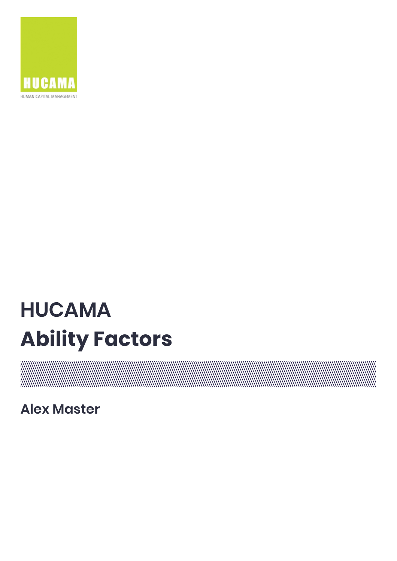

# **HUCAMA Ability Factors**

a kalendari da kalendari da kalendari da kalendari da kalendari da kalendari da kalendari da kalendari da kale

**Alex Master**

 $\frac{1}{10}$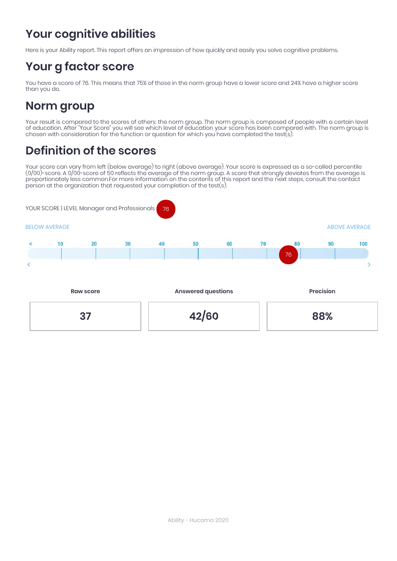# **Your cognitive abilities**

Here is your Ability report. This report offers an impression of how quickly and easily you solve cognitive problems.

### **Your g factor score**

You have a score of 76. This means that 75% of those in the norm group have a lower score and 24% have a higher score than you do.

### **Norm group**

Your result is compared to the scores of others: the norm group. The norm group is composed of people with a certain level of education. After "Your Score" you will see which level of education your score has been compared with. The norm group is chosen with consideration for the function or question for which you have completed the test(s).

### **Definition of the scores**

Your score can vary from left (below average) to right (above average). Your score is expressed as a so-called percentile (0/00)-score. A 0/00-score of 50 reflects the average of the norm group. A score that strongly deviates from the average is proportionately less common.For more information on the contents of this report and the next steps, consult the contact person at the organization that requested your completion of the test(s).

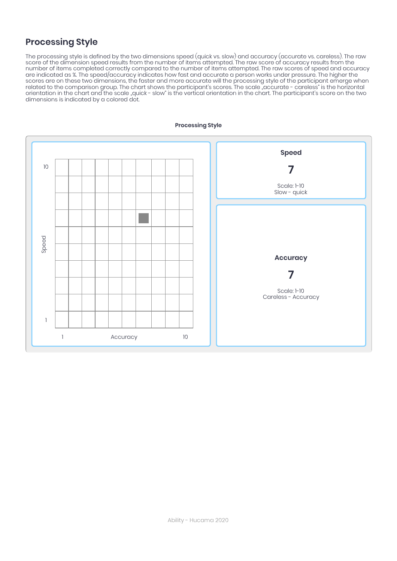### **Processing Style**

The processing style is defined by the two dimensions speed (quick vs. slow) and accuracy (accurate vs. careless). The raw score of the dimension speed results from the number of items attempted. The raw score of accuracy results from the number of items completed correctly compared to the number of items attempted. The raw scores of speed and accuracy are indicated as %. The speed/accuracy indicates how fast and accurate a person works under pressure. The higher the scores are on these two dimensions, the faster and more accurate will the processing style of the participant emerge when related to the comparison group. The chart shows the participant's scores. The scale "accurate - careless" is the horizontal orientation in the chart and the scale "quick - slow" is the vertical orientation in the chart. The participant's score on the two dimensions is indicated by a colored dot.

![](_page_2_Figure_2.jpeg)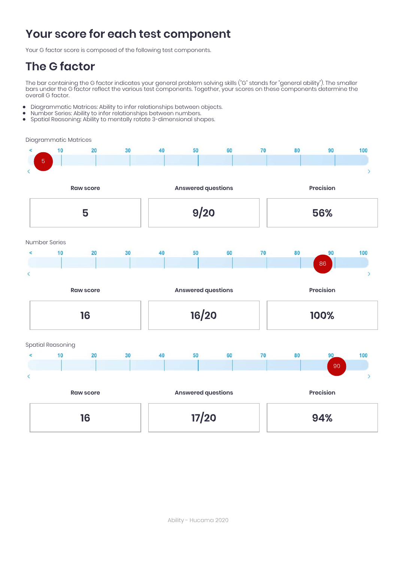## **Your score for each test component**

Your G factor score is composed of the following test components.

### **The G factor**

The bar containing the G factor indicates your general problem solving skills ("G" stands for "general ability"). The smaller bars under the G factor reflect the various test components. Together, your scores on these components determine the overall G factor.

- Diagrammatic Matrices: Ability to infer relationships between objects.  $\bullet$
- Number Series: Ability to infer relationships between numbers.
- $\bullet$ Spatial Reasoning: Ability to mentally rotate 3-dimensional shapes.

Diagrammatic Matrices

![](_page_3_Figure_8.jpeg)